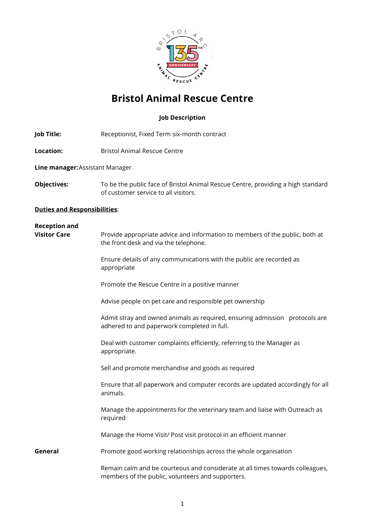

## **Bristol Animal Rescue Centre**

### **Job Description**

- **Job Title:** Receptionist, Fixed Term six-month contract
- **Location:** Bristol Animal Rescue Centre

**Line manager:**Assistant Manager

**Objectives:** To be the public face of Bristol Animal Rescue Centre, providing a high standard of customer service to all visitors.

#### **Duties and Responsibilities**:

# **Reception and Visitor Care** Provide appropriate advice and information to members of the public, both at the front desk and via the telephone. Ensure details of any communications with the public are recorded as appropriate Promote the Rescue Centre in a positive manner Advise people on pet care and responsible pet ownership Admit stray and owned animals as required, ensuring admission protocols are adhered to and paperwork completed in full. Deal with customer complaints efficiently, referring to the Manager as appropriate. Sell and promote merchandise and goods as required Ensure that all paperwork and computer records are updated accordingly for all animals. Manage the appointments for the veterinary team and liaise with Outreach as required Manage the Home Visit/ Post visit protocol in an efficient manner **General** Promote good working relationships across the whole organisation Remain calm and be courteous and considerate at all times towards colleagues, members of the public, volunteers and supporters.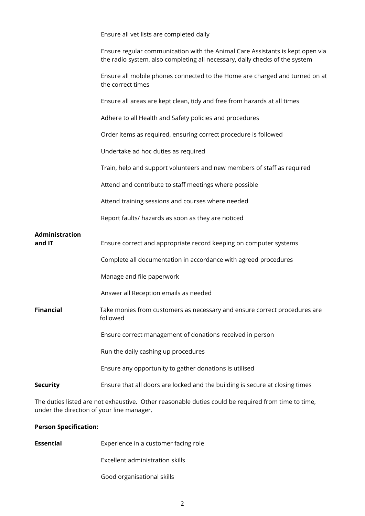|                          | Ensure all vet lists are completed daily                                                                                                                     |
|--------------------------|--------------------------------------------------------------------------------------------------------------------------------------------------------------|
|                          | Ensure regular communication with the Animal Care Assistants is kept open via<br>the radio system, also completing all necessary, daily checks of the system |
|                          | Ensure all mobile phones connected to the Home are charged and turned on at<br>the correct times                                                             |
|                          | Ensure all areas are kept clean, tidy and free from hazards at all times                                                                                     |
|                          | Adhere to all Health and Safety policies and procedures                                                                                                      |
|                          | Order items as required, ensuring correct procedure is followed                                                                                              |
|                          | Undertake ad hoc duties as required                                                                                                                          |
|                          | Train, help and support volunteers and new members of staff as required                                                                                      |
|                          | Attend and contribute to staff meetings where possible                                                                                                       |
|                          | Attend training sessions and courses where needed                                                                                                            |
|                          | Report faults/ hazards as soon as they are noticed                                                                                                           |
| Administration<br>and IT | Ensure correct and appropriate record keeping on computer systems                                                                                            |
|                          | Complete all documentation in accordance with agreed procedures                                                                                              |
|                          | Manage and file paperwork                                                                                                                                    |
|                          | Answer all Reception emails as needed                                                                                                                        |
| <b>Financial</b>         | Take monies from customers as necessary and ensure correct procedures are<br>followed                                                                        |
|                          | Ensure correct management of donations received in person                                                                                                    |
|                          | Run the daily cashing up procedures                                                                                                                          |
|                          | Ensure any opportunity to gather donations is utilised                                                                                                       |
| <b>Security</b>          | Ensure that all doors are locked and the building is secure at closing times                                                                                 |

The duties listed are not exhaustive. Other reasonable duties could be required from time to time, under the direction of your line manager.

#### **Person Specification:**

**Essential** Experience in a customer facing role

Excellent administration skills

Good organisational skills